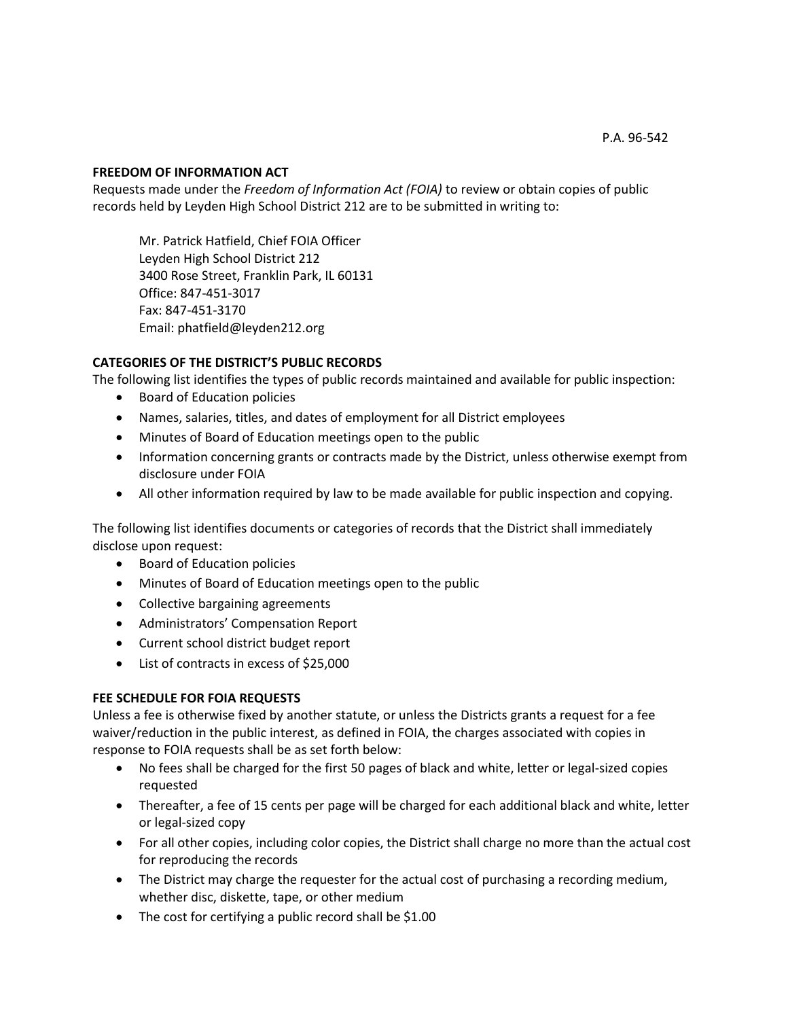#### **FREEDOM OF INFORMATION ACT**

Requests made under the *Freedom of Information Act (FOIA)* to review or obtain copies of public records held by Leyden High School District 212 are to be submitted in writing to:

Mr. Patrick Hatfield, Chief FOIA Officer Leyden High School District 212 3400 Rose Street, Franklin Park, IL 60131 Office: 847-451-3017 Fax: 847-451-3170 Email: phatfield@leyden212.org

### **CATEGORIES OF THE DISTRICT'S PUBLIC RECORDS**

The following list identifies the types of public records maintained and available for public inspection:

- Board of Education policies
- Names, salaries, titles, and dates of employment for all District employees
- Minutes of Board of Education meetings open to the public
- Information concerning grants or contracts made by the District, unless otherwise exempt from disclosure under FOIA
- All other information required by law to be made available for public inspection and copying.

The following list identifies documents or categories of records that the District shall immediately disclose upon request:

- Board of Education policies
- Minutes of Board of Education meetings open to the public
- Collective bargaining agreements
- Administrators' Compensation Report
- Current school district budget report
- List of contracts in excess of \$25,000

#### **FEE SCHEDULE FOR FOIA REQUESTS**

Unless a fee is otherwise fixed by another statute, or unless the Districts grants a request for a fee waiver/reduction in the public interest, as defined in FOIA, the charges associated with copies in response to FOIA requests shall be as set forth below:

- No fees shall be charged for the first 50 pages of black and white, letter or legal-sized copies requested
- Thereafter, a fee of 15 cents per page will be charged for each additional black and white, letter or legal-sized copy
- For all other copies, including color copies, the District shall charge no more than the actual cost for reproducing the records
- The District may charge the requester for the actual cost of purchasing a recording medium, whether disc, diskette, tape, or other medium
- The cost for certifying a public record shall be \$1.00